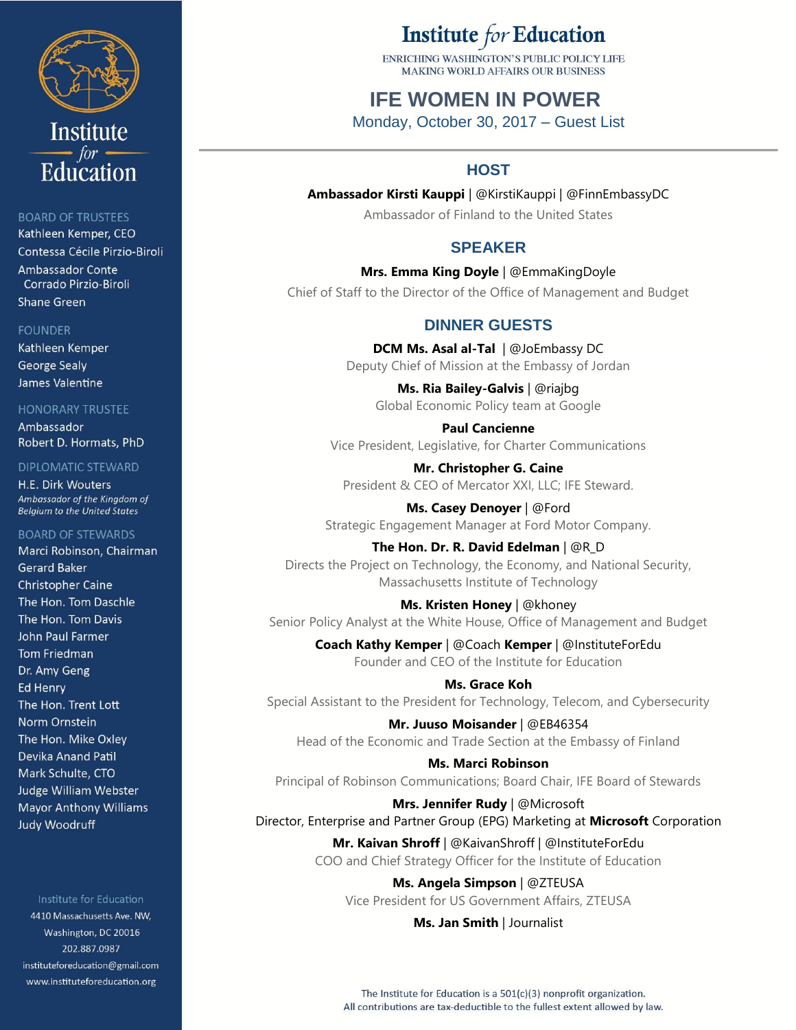

## **BOARD OF TRUSTEES**

Kathleen Kemper, CEO Contessa Cécile Pirzio-Biroli Ambassador Conte Corrado Pirzio-Biroli **Shane Green** 

#### **FOUNDER**

Kathleen Kemper **George Sealy** James Valentine

#### **HONORARY TRUSTEE**

Ambassador Robert D. Hormats, PhD

### **DIPLOMATIC STEWARD**

H.E. Dirk Wouters Ambassador of the Kingdom of **Belgium to the United States** 

#### **BOARD OF STEWARDS**

Marci Robinson, Chairman **Gerard Baker Christopher Caine** The Hon. Tom Daschle The Hon. Tom Davis **John Paul Farmer Tom Friedman** Dr. Amy Geng **Ed Henry** The Hon. Trent Lott Norm Ornstein The Hon. Mike Oxley Devika Anand Patil Mark Schulte, CTO **Judge William Webster Mayor Anthony Williams Judy Woodruff** 

#### Institute for Education

4410 Massachusetts Ave. NW, Washington, DC 20016 202.887.0987 instituteforeducation@gmail.com www.instituteforeducation.org

# Institute for Education

ENRICHING WASHINGTON'S PUBLIC POLICY LIFE MAKING WORLD AFFAIRS OUR RUSINESS

## **IFE WOMEN IN POWER**

Monday, October 30, 2017 – Guest List

## **HOST**

**Ambassador Kirsti Kauppi** | @KirstiKauppi | @FinnEmbassyDC Ambassador of Finland to the United States

## **SPEAKER**

**Mrs. Emma King Doyle** | @EmmaKingDoyle Chief of Staff to the Director of the Office of Management and Budget

## **DINNER GUESTS**

**DCM Ms. Asal al-Tal** | @JoEmbassy DC Deputy Chief of Mission at the Embassy of Jordan

**Ms. Ria Bailey-Galvis** | @riajbg Global Economic Policy team at Google

**Paul Cancienne** Vice President, Legislative, for Charter Communications

**Mr. Christopher G. Caine** President & CEO of Mercator XXI, LLC; IFE Steward.

**Ms. Casey Denoyer** | @Ford Strategic Engagement Manager at Ford Motor Company.

**The Hon. Dr. R. David Edelman** | @R\_D Directs the Project on Technology, the Economy, and National Security, Massachusetts Institute of Technology

**Ms. Kristen Honey** | @khoney Senior Policy Analyst at the White House, Office of Management and Budget

> **Coach Kathy Kemper** | @Coach **Kemper** | @InstituteForEdu Founder and CEO of the Institute for Education

**Ms. Grace Koh** Special Assistant to the President for Technology, Telecom, and Cybersecurity

**Mr. Juuso Moisander** | @EB46354 Head of the Economic and Trade Section at the Embassy of Finland

**Ms. Marci Robinson** Principal of Robinson Communications; Board Chair, IFE Board of Stewards

**Mrs. Jennifer Rudy** | @Microsoft Director, Enterprise and Partner Group (EPG) Marketing at **Microsoft** Corporation

> **Mr. Kaivan Shroff** | @KaivanShroff | @InstituteForEdu COO and Chief Strategy Officer for the Institute of Education

**Ms. Angela Simpson** | @ZTEUSA Vice President for US Government Affairs, ZTEUSA

**Ms. Jan Smith** | Journalist

The Institute for Education is a  $501(c)(3)$  nonprofit organization. All contributions are tax-deductible to the fullest extent allowed by law.